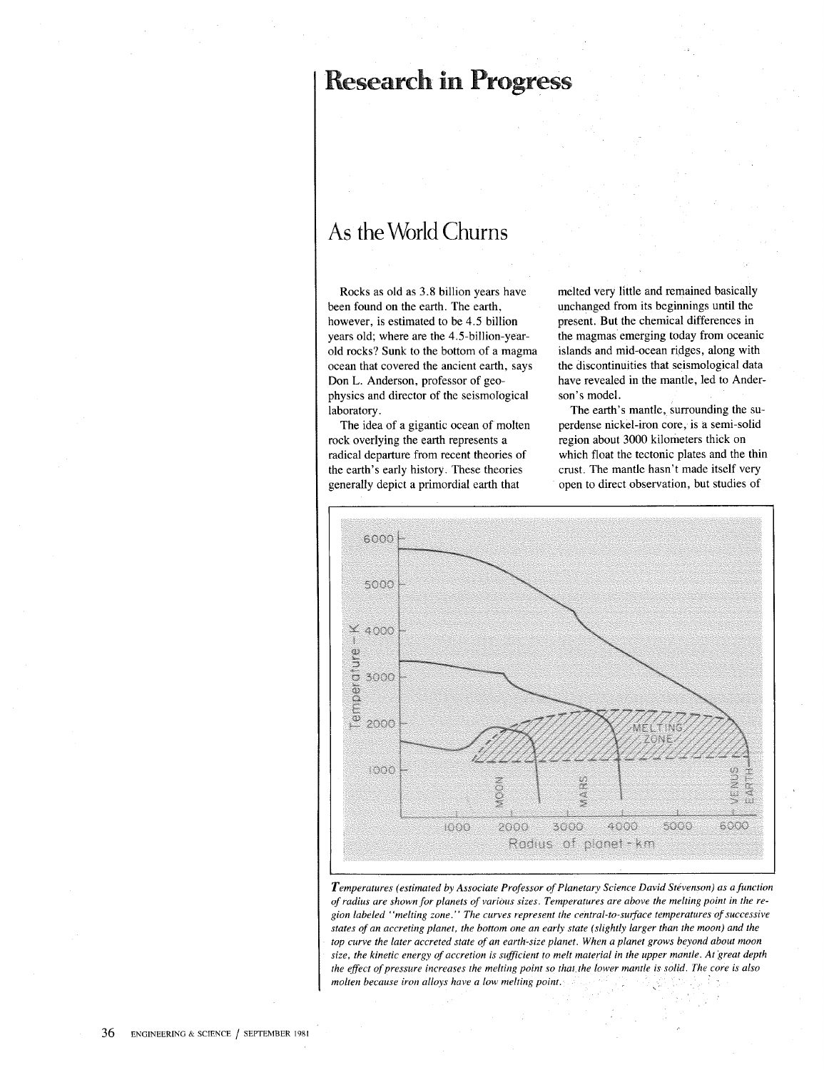## Research in Progress

## As the World Churns

Rocks as old as 3.8 billion years have been found on the earth. The earth, however, is estimated to be 4.5 billion years old; where are the 4.5-billion-yearold rocks? Sunk to the bottom of a magma ocean that covered the ancient earth, says Don L. Anderson, professor of geophysics and director of the seismological laboratory.

The idea of a gigantic ocean of molten rock overlying the earth represents a radical departure from recent theories of the earth's early history. These theories generally depict a primordial earth that

melted very little and remained basically unchanged from its beginnings until the present. But the chemical differences in the magmas emerging today from oceanic islands and mid-ocean ridges, along with the discontinuities that seismological data have revealed in the mantle, led to Anderson's model.

The earth's mantle, surrounding the superdense nickel-iron core, is a semi-solid region about 3000 kilometers thick on which float the tectonic plates and the thin crust. The mantle hasn't made itself very open to direct observation, but studies of



*Temperatures (estimated by Associate Professor of Planetary Science David Stevenson) as a function of radius are shown for planets of various sizes. Temperatures are above the melting point in the region labeled "melting zone." The curves represent the central-to-sUlface temperatures of successive states of an accreting planet, the bottom one an early state (slightly larger than the moon) and the top curve the later accreted state of an earth-size planet. When a planet grows beyond about moon size, the kinetic energy of accretion is sufficient* fa *melt material in the upper mantle. At 'great depth the effect of pressure increases the melting point so that the lower mantle is solid. The core is also molten because iron alloys have a low melting point,*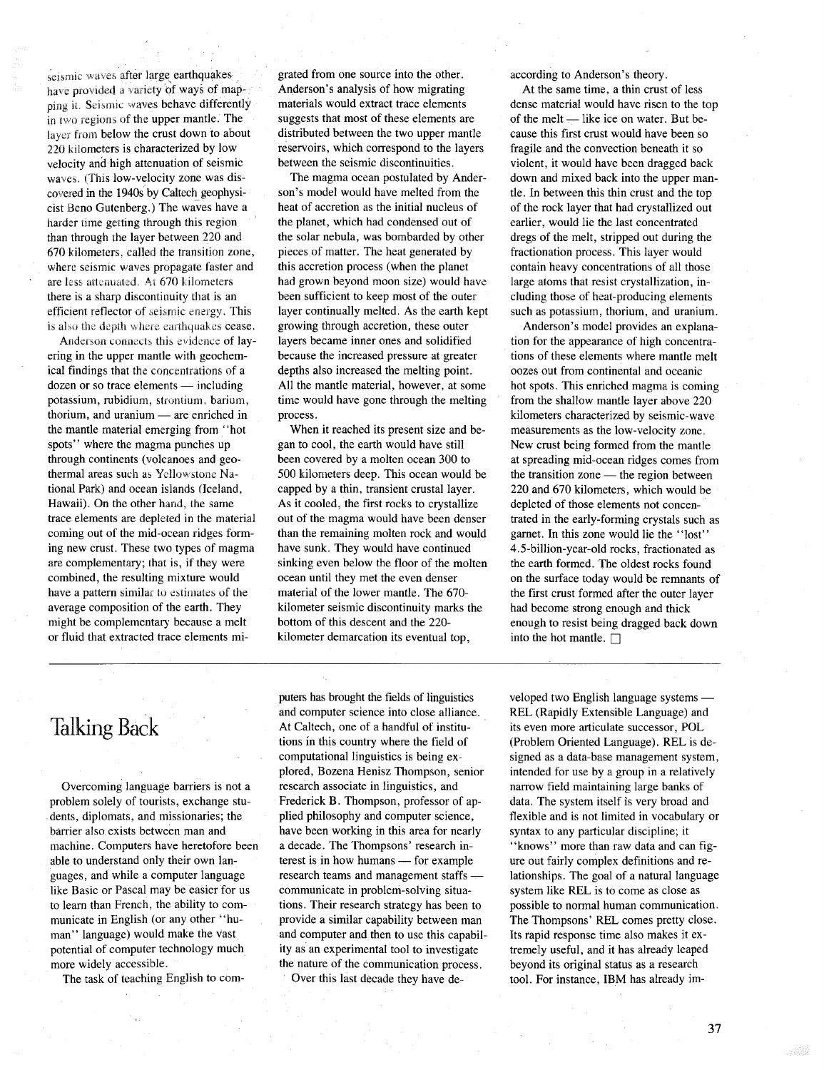seismic waves after large earthquakes have provided a variety of ways of mapping it. Seismic waves behave differently in two regions of the upper mantle. The layer from below the crust down to about 220 kilometers is characterized by low velocity and high attenuation of seismic waves. (This low-velocity zone was discovered in the 1940s by Caltech\_geophysicist Beno Gutenberg.) The waves have a harder time getting through this region than through the layer between 220 and 670 kilometers, called the transition zone, where seismic waves propagate faster and are less attenuated. At 670 kilometers there is a sharp discontinuity that is an efficient reflector of seismic energy. This is also the depth where earthquakes cease.

Anderson connects this evidence of layering in the upper mantle with geochemical findings that the concentrations of a  $d$ ozen or so trace elements — including potassium, rubidium, strontium, barium, thorium, and uranium  $-$  are enriched in the mantle material emerging from' 'hot spots" where the magma punches up through continents (volcanoes and geothermal areas such as Yellowstone National Park) and ocean islands <Iceland, Hawaii). On the other hand, the same trace elements are depleted in the material coming out of the mid-ocean ridges forming new crust. These two types of magma are complementary; that is, if they were combined, the resulting mixture would have a pattern similar to estimates of the average composition of the earth. They might be complementary because a melt or fluid that extracted trace elements migrated from one source into the other. Anderson's analysis of how migrating materials would extract trace elements suggests that most of these elements are distributed between the two upper mantle reservoirs, which correspond to the layers between the seismic discontinuities.

The magma ocean postulated by Anderson's model would have melted from the heat of accretion as the initial nucleus of the planet, which had condensed out of the solar nebula, was bombarded by other pieces of matter. The heat generated by this accretion process (when the planet had grown beyond moon size) would have been sufficient to keep most of the outer layer continually melted. As the earth kept growing through accretion, these outer layers became inner ones and solidified because the increased pressure at greater depths also increased the melting point. All the mantle material, however, at some time would have gone through the melting process.

When it reached its present size and began to cool, the earth would have still been covered by a molten ocean 300 to 500 kilometers deep. This ocean would be capped by a thin, transient crustal layer. As it cooled, the first rocks to crystallize out of the magma would have been denser than the remaining molten rock and would have sunk. They would have continued sinking even below the floor of the molten ocean until they met the even denser material of the lower mantle. The 670 kilometer seismic discontinuity marks the bottom of this descent and the 220 kilometer demarcation its eventual top,

according to Anderson's theory.

At the same time, a thin crust of less dense material would have risen to the top of the melt  $-$  like ice on water. But because this first crust would have been so fragile and the convection beneath it so violent, it would have been dragged back down and mixed back into the upper mantle. In between this thin crust and the top of the rock layer that had crystallized out earlier, would lie the last concentrated dregs of the melt, stripped out during the fractionation process. This layer would contain heavy concentrations of all those large atoms that resist crystallization, including those of heat-producing elements such as potassium, thorium, and uranium.

Anderson's model provides an explanation for the appearance of high concentrations of these elements where mantle melt oozes out from continental and oceanic hot spots. This enriched magma is coming from the shallow mantle layer above 220 kilometers characterized by seismic-wave measurements as the low-velocity zone. New crust being formed from the mantle at spreading mid-ocean ridges comes from the transition zone  $-$  the region between 220 and 670 kilometers, which would be depleted of those elements not concentrated in the early-forming crystals such as garnet. In this zone would lie the "lost" 4.5-billion-year-old rocks, fractionated as the earth formed. The oldest rocks found on the surface today would be remnants of the first crust formed after the outer layer had become strong enough and thick enough to resist being dragged back down into the hot mantle.  $\Box$ 

## Talking Back

Overcoming language barriers is not a problem solely of tourists, exchange students, diplomats, and missionaries; the barrier also exists between man and machine. Computers have heretofore been able to understand only their own languages, and while a computer language like Basic or Pascal may be easier for us to learn than French, the ability to communicate in English (or any other "human" language) would make the vast potential of computer technology much more widely accessible.

The task of teaching English to com-

puters has brought the fields of linguistics and computer science into close alliance. At Caltech, one of a handful of institutions in this country where the field of computational linguistics is being explored, Bozena Henisz Thompson, senior research associate in linguistics, and Frederick B. Thompson, professor of applied philosophy and computer science, have been working in this area for nearly a decade. The Thompsons' research interest is in how humans  $-$  for example research teams and management staffs communicate in problem-solving situations. Their research strategy has been to provide a similar capability between man and computer and then to use this capability as an experimental tool to investigate the nature of the communication process. Over this last decade they have de-

veloped two English language systems -REL (Rapidly Extensible Language) and its even more articulate successor, POL (Problem Oriented Language). REL is designed as a data-base management system, intended for use by a group in a relatively narrow field maintaining large banks of data. The system itself is very broad and flexible and is not limited in vocabulary or syntax to any particular discipline; it "knows" more than raw data and can figure out fairly complex definitions and relationships. The goal of a natural language system like REL is to come as close as possible to normal human communication. The Thompsons' REL comes pretty close. Its rapid response time also makes it extremely useful, and it has already leaped beyond its original status as a research tool. For instance, IBM has already im-

37